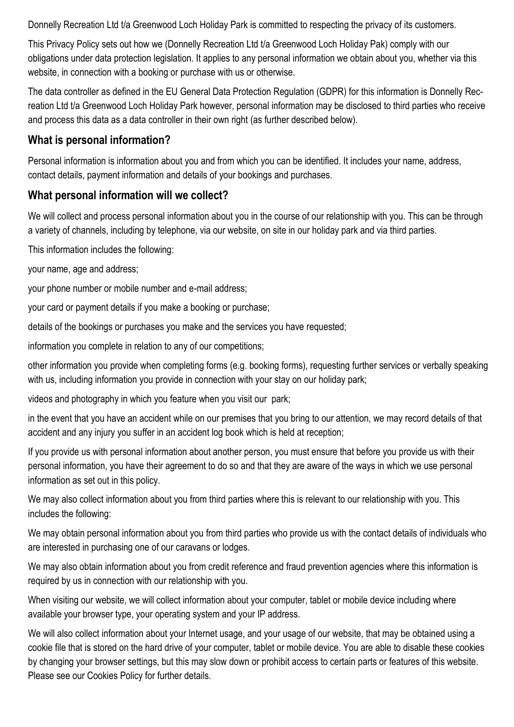Donnelly Recreation Ltd t/a Greenwood Loch Holiday Park is committed to respecting the privacy of its customers.

This Privacy Policy sets out how we (Donnelly Recreation Ltd t/a Greenwood Loch Holiday Pak) comply with our obligations under data protection legislation. It applies to any personal information we obtain about you, whether via this website, in connection with a booking or purchase with us or otherwise.

The data controller as defined in the EU General Data Protection Regulation (GDPR) for this information is Donnelly Recreation Ltd t/a Greenwood Loch Holiday Park however, personal information may be disclosed to third parties who receive and process this data as a data controller in their own right (as further described below).

#### **What is personal information?**

Personal information is information about you and from which you can be identified. It includes your name, address, contact details, payment information and details of your bookings and purchases.

#### **What personal information will we collect?**

We will collect and process personal information about you in the course of our relationship with you. This can be through a variety of channels, including by telephone, via our website, on site in our holiday park and via third parties.

This information includes the following:

your name, age and address;

your phone number or mobile number and e-mail address;

your card or payment details if you make a booking or purchase;

details of the bookings or purchases you make and the services you have requested;

information you complete in relation to any of our competitions;

other information you provide when completing forms (e.g. booking forms), requesting further services or verbally speaking with us, including information you provide in connection with your stay on our holiday park;

videos and photography in which you feature when you visit our park;

in the event that you have an accident while on our premises that you bring to our attention, we may record details of that accident and any injury you suffer in an accident log book which is held at reception;

If you provide us with personal information about another person, you must ensure that before you provide us with their personal information, you have their agreement to do so and that they are aware of the ways in which we use personal information as set out in this policy.

We may also collect information about you from third parties where this is relevant to our relationship with you. This includes the following:

We may obtain personal information about you from third parties who provide us with the contact details of individuals who are interested in purchasing one of our caravans or lodges.

We may also obtain information about you from credit reference and fraud prevention agencies where this information is required by us in connection with our relationship with you.

When visiting our website, we will collect information about your computer, tablet or mobile device including where available your browser type, your operating system and your IP address.

We will also collect information about your Internet usage, and your usage of our website, that may be obtained using a cookie file that is stored on the hard drive of your computer, tablet or mobile device. You are able to disable these cookies by changing your browser settings, but this may slow down or prohibit access to certain parts or features of this website. Please see our Cookies Policy for further details.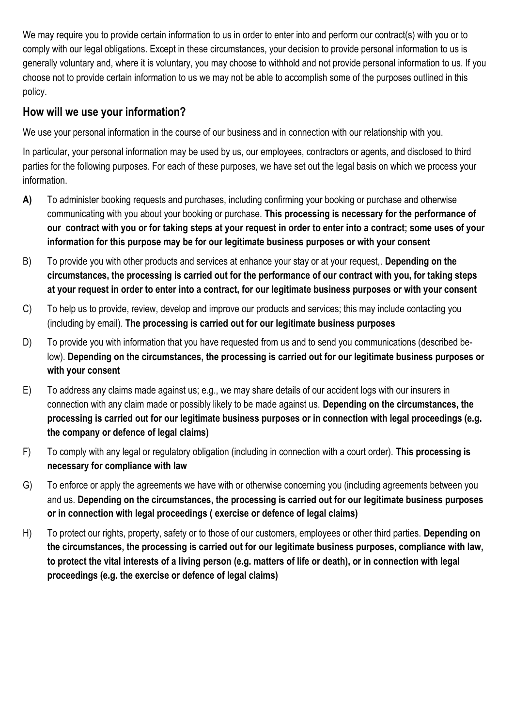We may require you to provide certain information to us in order to enter into and perform our contract(s) with you or to comply with our legal obligations. Except in these circumstances, your decision to provide personal information to us is generally voluntary and, where it is voluntary, you may choose to withhold and not provide personal information to us. If you choose not to provide certain information to us we may not be able to accomplish some of the purposes outlined in this policy.

#### **How will we use your information?**

We use your personal information in the course of our business and in connection with our relationship with you.

In particular, your personal information may be used by us, our employees, contractors or agents, and disclosed to third parties for the following purposes. For each of these purposes, we have set out the legal basis on which we process your information.

- **A)** To administer booking requests and purchases, including confirming your booking or purchase and otherwise communicating with you about your booking or purchase. **This processing is necessary for the performance of our contract with you or for taking steps at your request in order to enter into a contract; some uses of your information for this purpose may be for our legitimate business purposes or with your consent**
- B) To provide you with other products and services at enhance your stay or at your request,. **Depending on the circumstances, the processing is carried out for the performance of our contract with you, for taking steps at your request in order to enter into a contract, for our legitimate business purposes or with your consent**
- C) To help us to provide, review, develop and improve our products and services; this may include contacting you (including by email). **The processing is carried out for our legitimate business purposes**
- D) To provide you with information that you have requested from us and to send you communications (described below). **Depending on the circumstances, the processing is carried out for our legitimate business purposes or with your consent**
- E) To address any claims made against us; e.g., we may share details of our accident logs with our insurers in connection with any claim made or possibly likely to be made against us. **Depending on the circumstances, the processing is carried out for our legitimate business purposes or in connection with legal proceedings (e.g. the company or defence of legal claims)**
- F) To comply with any legal or regulatory obligation (including in connection with a court order). **This processing is necessary for compliance with law**
- G) To enforce or apply the agreements we have with or otherwise concerning you (including agreements between you and us. **Depending on the circumstances, the processing is carried out for our legitimate business purposes or in connection with legal proceedings ( exercise or defence of legal claims)**
- H) To protect our rights, property, safety or to those of our customers, employees or other third parties. **Depending on the circumstances, the processing is carried out for our legitimate business purposes, compliance with law, to protect the vital interests of a living person (e.g. matters of life or death), or in connection with legal proceedings (e.g. the exercise or defence of legal claims)**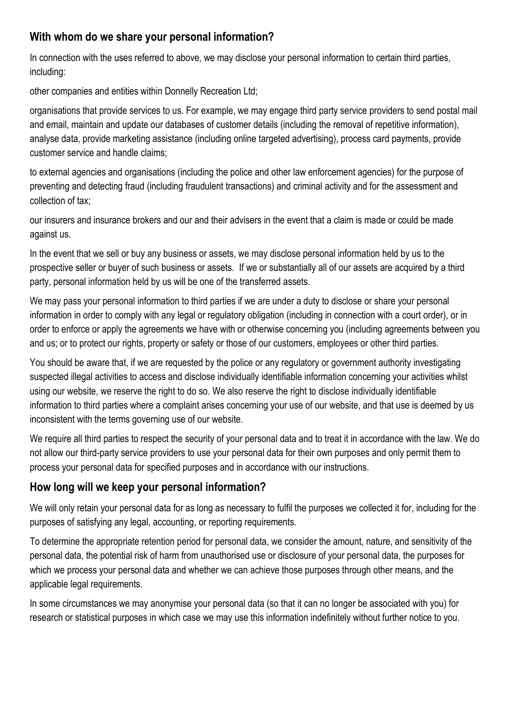### **With whom do we share your personal information?**

In connection with the uses referred to above, we may disclose your personal information to certain third parties, including:

other companies and entities within Donnelly Recreation Ltd;

organisations that provide services to us. For example, we may engage third party service providers to send postal mail and email, maintain and update our databases of customer details (including the removal of repetitive information), analyse data, provide marketing assistance (including online targeted advertising), process card payments, provide customer service and handle claims;

to external agencies and organisations (including the police and other law enforcement agencies) for the purpose of preventing and detecting fraud (including fraudulent transactions) and criminal activity and for the assessment and collection of tax;

our insurers and insurance brokers and our and their advisers in the event that a claim is made or could be made against us.

In the event that we sell or buy any business or assets, we may disclose personal information held by us to the prospective seller or buyer of such business or assets. If we or substantially all of our assets are acquired by a third party, personal information held by us will be one of the transferred assets.

We may pass your personal information to third parties if we are under a duty to disclose or share your personal information in order to comply with any legal or regulatory obligation (including in connection with a court order), or in order to enforce or apply the agreements we have with or otherwise concerning you (including agreements between you and us; or to protect our rights, property or safety or those of our customers, employees or other third parties.

You should be aware that, if we are requested by the police or any regulatory or government authority investigating suspected illegal activities to access and disclose individually identifiable information concerning your activities whilst using our website, we reserve the right to do so. We also reserve the right to disclose individually identifiable information to third parties where a complaint arises concerning your use of our website, and that use is deemed by us inconsistent with the terms governing use of our website.

We require all third parties to respect the security of your personal data and to treat it in accordance with the law. We do not allow our third-party service providers to use your personal data for their own purposes and only permit them to process your personal data for specified purposes and in accordance with our instructions.

### **How long will we keep your personal information?**

We will only retain your personal data for as long as necessary to fulfil the purposes we collected it for, including for the purposes of satisfying any legal, accounting, or reporting requirements.

To determine the appropriate retention period for personal data, we consider the amount, nature, and sensitivity of the personal data, the potential risk of harm from unauthorised use or disclosure of your personal data, the purposes for which we process your personal data and whether we can achieve those purposes through other means, and the applicable legal requirements.

In some circumstances we may anonymise your personal data (so that it can no longer be associated with you) for research or statistical purposes in which case we may use this information indefinitely without further notice to you.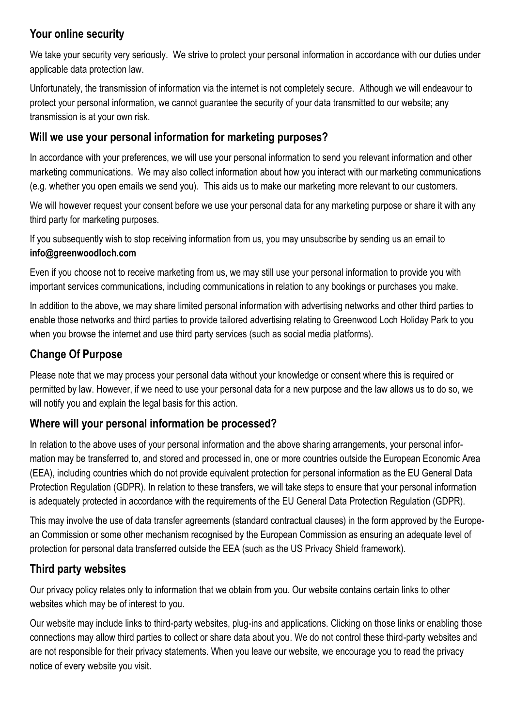### **Your online security**

We take your security very seriously. We strive to protect your personal information in accordance with our duties under applicable data protection law.

Unfortunately, the transmission of information via the internet is not completely secure. Although we will endeavour to protect your personal information, we cannot guarantee the security of your data transmitted to our website; any transmission is at your own risk.

### **Will we use your personal information for marketing purposes?**

In accordance with your preferences, we will use your personal information to send you relevant information and other marketing communications. We may also collect information about how you interact with our marketing communications (e.g. whether you open emails we send you). This aids us to make our marketing more relevant to our customers.

We will however request your consent before we use your personal data for any marketing purpose or share it with any third party for marketing purposes.

If you subsequently wish to stop receiving information from us, you may unsubscribe by sending us an email to **info@greenwoodloch.com**

Even if you choose not to receive marketing from us, we may still use your personal information to provide you with important services communications, including communications in relation to any bookings or purchases you make.

In addition to the above, we may share limited personal information with advertising networks and other third parties to enable those networks and third parties to provide tailored advertising relating to Greenwood Loch Holiday Park to you when you browse the internet and use third party services (such as social media platforms).

# **Change Of Purpose**

Please note that we may process your personal data without your knowledge or consent where this is required or permitted by law. However, if we need to use your personal data for a new purpose and the law allows us to do so, we will notify you and explain the legal basis for this action.

### **Where will your personal information be processed?**

In relation to the above uses of your personal information and the above sharing arrangements, your personal information may be transferred to, and stored and processed in, one or more countries outside the European Economic Area (EEA), including countries which do not provide equivalent protection for personal information as the EU General Data Protection Regulation (GDPR). In relation to these transfers, we will take steps to ensure that your personal information is adequately protected in accordance with the requirements of the EU General Data Protection Regulation (GDPR).

This may involve the use of data transfer agreements (standard contractual clauses) in the form approved by the European Commission or some other mechanism recognised by the European Commission as ensuring an adequate level of protection for personal data transferred outside the EEA (such as the US Privacy Shield framework).

# **Third party websites**

Our privacy policy relates only to information that we obtain from you. Our website contains certain links to other websites which may be of interest to you.

Our website may include links to third-party websites, plug-ins and applications. Clicking on those links or enabling those connections may allow third parties to collect or share data about you. We do not control these third-party websites and are not responsible for their privacy statements. When you leave our website, we encourage you to read the privacy notice of every website you visit.